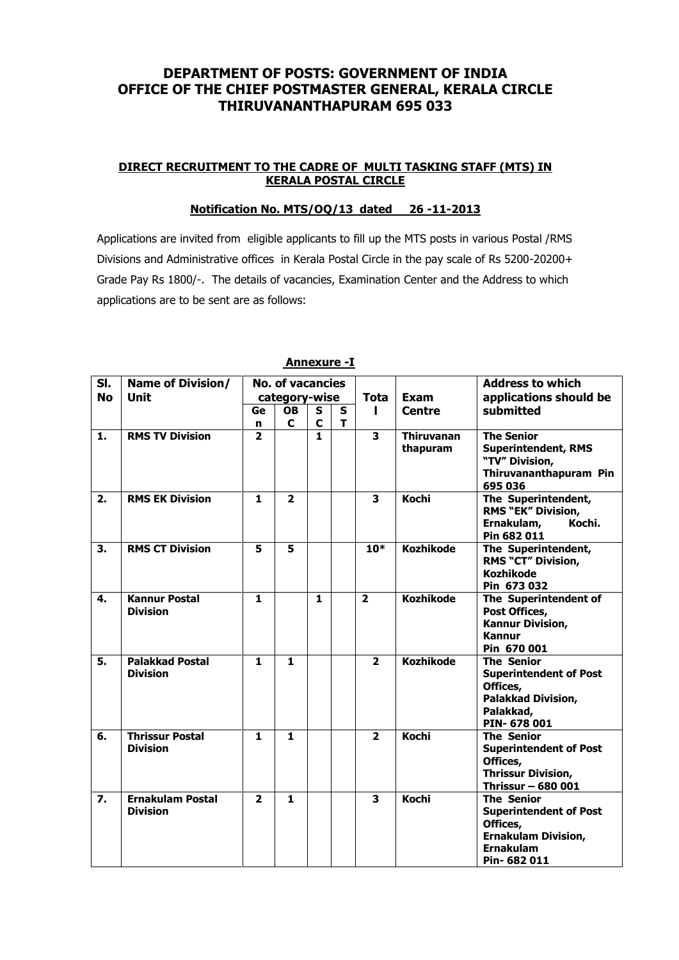# **DEPARTMENT OF POSTS: GOVERNMENT OF INDIA OFFICE OF THE CHIEF POSTMASTER GENERAL, KERALA CIRCLE THIRUVANANTHAPURAM 695 033**

## **DIRECT RECRUITMENT TO THE CADRE OF MULTI TASKING STAFF (MTS) IN KERALA POSTAL CIRCLE**

## **Notification No. MTS/OQ/13 dated 26 -11-2013**

Applications are invited from eligible applicants to fill up the MTS posts in various Postal /RMS Divisions and Administrative offices in Kerala Postal Circle in the pay scale of Rs 5200-20200+ Grade Pay Rs 1800/-. The details of vacancies, Examination Center and the Address to which applications are to be sent are as follows:

| SI.       | <b>Name of Division/</b>                   | <b>No. of vacancies</b> |                |              |   |                         |                               | <b>Address to which</b>                                                                                                        |
|-----------|--------------------------------------------|-------------------------|----------------|--------------|---|-------------------------|-------------------------------|--------------------------------------------------------------------------------------------------------------------------------|
| <b>No</b> | <b>Unit</b>                                | category-wise           |                |              |   | <b>Tota</b>             | Exam                          | applications should be                                                                                                         |
|           |                                            | Ge                      | <b>OB</b>      | S            | S | L                       | <b>Centre</b>                 | submitted                                                                                                                      |
|           |                                            | n                       | C              | $\mathbf c$  | т |                         |                               |                                                                                                                                |
| 1.        | <b>RMS TV Division</b>                     | $\overline{2}$          |                | $\mathbf{1}$ |   | $\overline{\mathbf{3}}$ | <b>Thiruvanan</b><br>thapuram | <b>The Senior</b><br><b>Superintendent, RMS</b><br>"TV" Division,<br>Thiruvananthapuram Pin<br>695 036                         |
| 2.        | <b>RMS EK Division</b>                     | $\mathbf{1}$            | $\overline{2}$ |              |   | 3                       | <b>Kochi</b>                  | The Superintendent,<br><b>RMS "EK" Division,</b><br>Ernakulam,<br>Kochi.<br>Pin 682 011                                        |
| 3.        | <b>RMS CT Division</b>                     | 5                       | 5              |              |   | $10*$                   | <b>Kozhikode</b>              | The Superintendent,<br><b>RMS "CT" Division,</b><br><b>Kozhikode</b><br>Pin 673 032                                            |
| 4.        | <b>Kannur Postal</b><br><b>Division</b>    | $\mathbf{1}$            |                | $\mathbf{1}$ |   | $\overline{\mathbf{2}}$ | <b>Kozhikode</b>              | The Superintendent of<br>Post Offices,<br>Kannur Division,<br><b>Kannur</b><br>Pin 670 001                                     |
| 5.        | <b>Palakkad Postal</b><br><b>Division</b>  | 1.                      | 1              |              |   | $\overline{2}$          | <b>Kozhikode</b>              | <b>The Senior</b><br><b>Superintendent of Post</b><br>Offices,<br><b>Palakkad Division,</b><br>Palakkad,<br>PIN-678001         |
| 6.        | <b>Thrissur Postal</b><br><b>Division</b>  | $\mathbf{1}$            | $\mathbf{1}$   |              |   | $\overline{2}$          | <b>Kochi</b>                  | <b>The Senior</b><br><b>Superintendent of Post</b><br>Offices,<br><b>Thrissur Division,</b><br>Thrissur - 680 001              |
| 7.        | <b>Ernakulam Postal</b><br><b>Division</b> | $\overline{\mathbf{2}}$ | $\mathbf{1}$   |              |   | 3                       | <b>Kochi</b>                  | <b>The Senior</b><br><b>Superintendent of Post</b><br>Offices,<br><b>Ernakulam Division,</b><br><b>Ernakulam</b><br>Pin-682011 |

## **Annexure -I**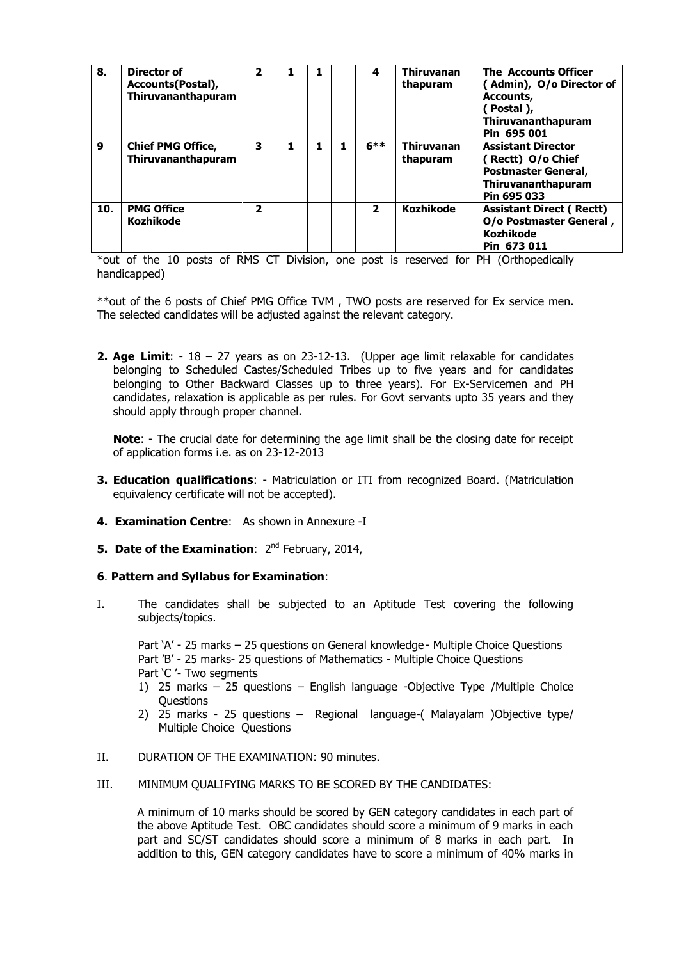| 8.  | Director of<br>Accounts (Postal),<br>Thiruvananthapuram | $\overline{\mathbf{2}}$ |  | 4              | <b>Thiruvanan</b><br>thapuram | <b>The Accounts Officer</b><br>(Admin), O/o Director of<br>Accounts,<br>(Postal),<br>Thiruvananthapuram<br>Pin 695 001 |
|-----|---------------------------------------------------------|-------------------------|--|----------------|-------------------------------|------------------------------------------------------------------------------------------------------------------------|
| 9   | <b>Chief PMG Office,</b><br>Thiruvananthapuram          | 3                       |  | $6***$         | <b>Thiruvanan</b><br>thapuram | <b>Assistant Director</b><br>(Rectt) O/o Chief<br><b>Postmaster General,</b><br>Thiruvananthapuram<br>Pin 695 033      |
| 10. | <b>PMG Office</b><br><b>Kozhikode</b>                   | $\overline{\mathbf{2}}$ |  | $\overline{2}$ | <b>Kozhikode</b>              | <b>Assistant Direct (Rectt)</b><br>O/o Postmaster General,<br><b>Kozhikode</b><br>Pin 673 011                          |

\*out of the 10 posts of RMS CT Division, one post is reserved for PH (Orthopedically handicapped)

\*\*out of the 6 posts of Chief PMG Office TVM , TWO posts are reserved for Ex service men. The selected candidates will be adjusted against the relevant category.

**2. Age Limit**: - 18 – 27 years as on 23-12-13. (Upper age limit relaxable for candidates belonging to Scheduled Castes/Scheduled Tribes up to five years and for candidates belonging to Other Backward Classes up to three years). For Ex-Servicemen and PH candidates, relaxation is applicable as per rules. For Govt servants upto 35 years and they should apply through proper channel.

**Note**: - The crucial date for determining the age limit shall be the closing date for receipt of application forms i.e. as on 23-12-2013

- **3. Education qualifications**: Matriculation or ITI from recognized Board. (Matriculation equivalency certificate will not be accepted).
- **4. Examination Centre**: As shown in Annexure -I
- **5. Date of the Examination:** 2<sup>nd</sup> February, 2014,

### **6**. **Pattern and Syllabus for Examination**:

I. The candidates shall be subjected to an Aptitude Test covering the following subjects/topics.

Part 'A' - 25 marks – 25 questions on General knowledge- Multiple Choice Questions Part 'B' - 25 marks- 25 questions of Mathematics - Multiple Choice Questions Part 'C '- Two segments

- 1) 25 marks 25 questions English language -Objective Type /Multiple Choice **Questions**
- 2) 25 marks 25 questions Regional language-( Malayalam )Objective type/ Multiple Choice Ouestions
- II. DURATION OF THE EXAMINATION: 90 minutes.
- III. MINIMUM QUALIFYING MARKS TO BE SCORED BY THE CANDIDATES:

A minimum of 10 marks should be scored by GEN category candidates in each part of the above Aptitude Test. OBC candidates should score a minimum of 9 marks in each part and SC/ST candidates should score a minimum of 8 marks in each part. In addition to this, GEN category candidates have to score a minimum of 40% marks in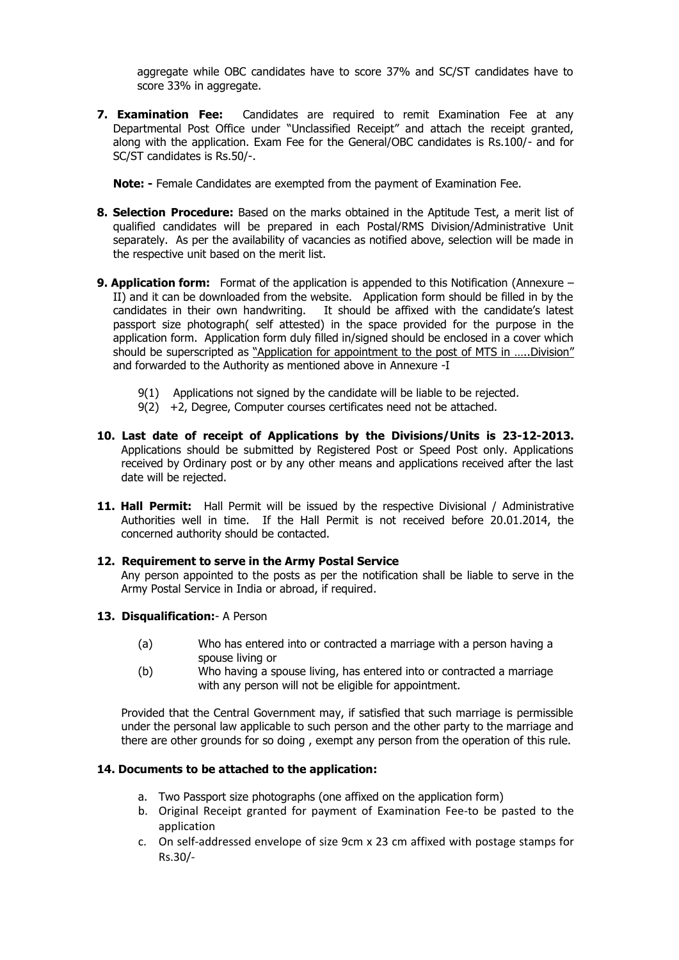aggregate while OBC candidates have to score 37% and SC/ST candidates have to score 33% in aggregate.

**7. Examination Fee:** Candidates are required to remit Examination Fee at any Departmental Post Office under "Unclassified Receipt" and attach the receipt granted, along with the application. Exam Fee for the General/OBC candidates is Rs.100/- and for SC/ST candidates is Rs.50/-.

**Note: -** Female Candidates are exempted from the payment of Examination Fee.

- **8. Selection Procedure:** Based on the marks obtained in the Aptitude Test, a merit list of qualified candidates will be prepared in each Postal/RMS Division/Administrative Unit separately. As per the availability of vacancies as notified above, selection will be made in the respective unit based on the merit list.
- **9. Application form:** Format of the application is appended to this Notification (Annexure II) and it can be downloaded from the website. Application form should be filled in by the candidates in their own handwriting. It should be affixed with the candidate's latest passport size photograph( self attested) in the space provided for the purpose in the application form. Application form duly filled in/signed should be enclosed in a cover which should be superscripted as "Application for appointment to the post of MTS in …..Division" and forwarded to the Authority as mentioned above in Annexure -I
	- 9(1) Applications not signed by the candidate will be liable to be rejected.
	- 9(2) +2, Degree, Computer courses certificates need not be attached.
- **10. Last date of receipt of Applications by the Divisions/Units is 23-12-2013.** Applications should be submitted by Registered Post or Speed Post only. Applications received by Ordinary post or by any other means and applications received after the last date will be rejected.
- **11. Hall Permit:** Hall Permit will be issued by the respective Divisional / Administrative Authorities well in time. If the Hall Permit is not received before 20.01.2014, the concerned authority should be contacted.
- **12. Requirement to serve in the Army Postal Service**

Any person appointed to the posts as per the notification shall be liable to serve in the Army Postal Service in India or abroad, if required.

- **13. Disqualification:** A Person
	- (a) Who has entered into or contracted a marriage with a person having a spouse living or
	- (b) Who having a spouse living, has entered into or contracted a marriage with any person will not be eligible for appointment.

Provided that the Central Government may, if satisfied that such marriage is permissible under the personal law applicable to such person and the other party to the marriage and there are other grounds for so doing , exempt any person from the operation of this rule.

### **14. Documents to be attached to the application:**

- a. Two Passport size photographs (one affixed on the application form)
- b. Original Receipt granted for payment of Examination Fee-to be pasted to the application
- c. On self-addressed envelope of size 9cm x 23 cm affixed with postage stamps for Rs.30/-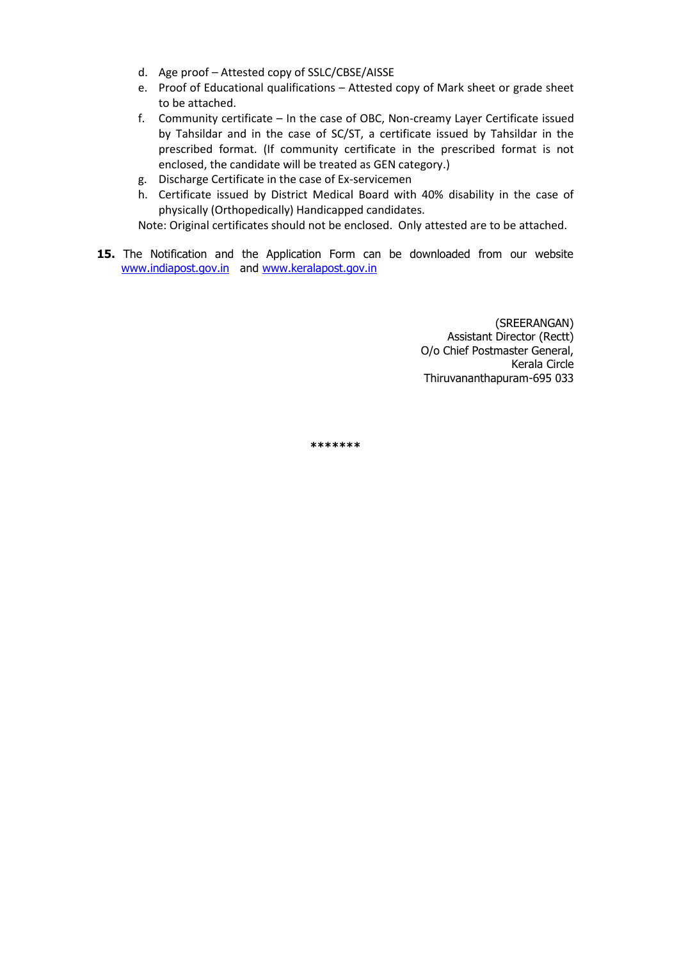- d. Age proof Attested copy of SSLC/CBSE/AISSE
- e. Proof of Educational qualifications Attested copy of Mark sheet or grade sheet to be attached.
- f. Community certificate In the case of OBC, Non-creamy Layer Certificate issued by Tahsildar and in the case of SC/ST, a certificate issued by Tahsildar in the prescribed format. (If community certificate in the prescribed format is not enclosed, the candidate will be treated as GEN category.)
- g. Discharge Certificate in the case of Ex-servicemen
- h. Certificate issued by District Medical Board with 40% disability in the case of physically (Orthopedically) Handicapped candidates.

Note: Original certificates should not be enclosed. Only attested are to be attached.

**15.** The Notification and the Application Form can be downloaded from our website [www.indiapost.gov.in](http://www.indiapost.gov.in/) and [www.keralapost.gov.in](http://www.keralapost.gov.in/)

> (SREERANGAN) Assistant Director (Rectt) O/o Chief Postmaster General, Kerala Circle Thiruvananthapuram-695 033

**\*\*\*\*\*\*\***